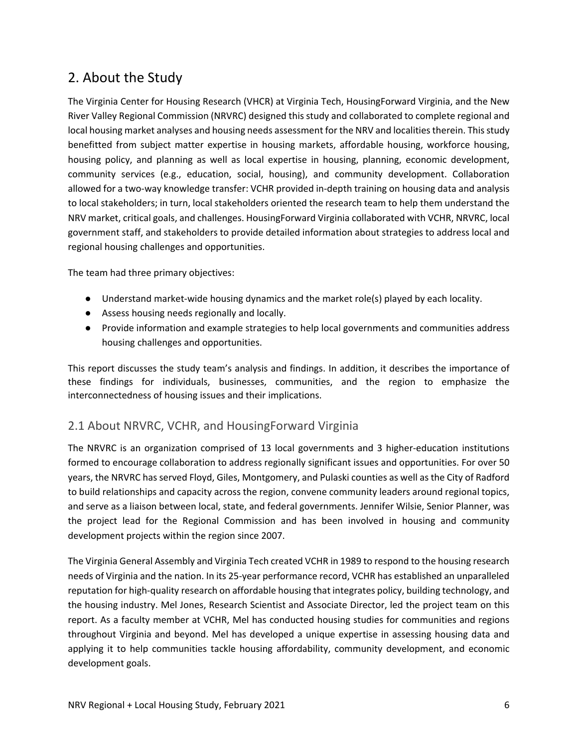# 2. About the Study

The Virginia Center for Housing Research (VHCR) at Virginia Tech, HousingForward Virginia, and the New River Valley Regional Commission (NRVRC) designed this study and collaborated to complete regional and local housing market analyses and housing needs assessment for the NRV and localities therein. This study benefitted from subject matter expertise in housing markets, affordable housing, workforce housing, housing policy, and planning as well as local expertise in housing, planning, economic development, community services (e.g., education, social, housing), and community development. Collaboration allowed for a two‐way knowledge transfer: VCHR provided in‐depth training on housing data and analysis to local stakeholders; in turn, local stakeholders oriented the research team to help them understand the NRV market, critical goals, and challenges. HousingForward Virginia collaborated with VCHR, NRVRC, local government staff, and stakeholders to provide detailed information about strategies to address local and regional housing challenges and opportunities.

The team had three primary objectives:

- Understand market-wide housing dynamics and the market role(s) played by each locality.
- Assess housing needs regionally and locally.
- Provide information and example strategies to help local governments and communities address housing challenges and opportunities.

This report discusses the study team's analysis and findings. In addition, it describes the importance of these findings for individuals, businesses, communities, and the region to emphasize the interconnectedness of housing issues and their implications.

# 2.1 About NRVRC, VCHR, and HousingForward Virginia

The NRVRC is an organization comprised of 13 local governments and 3 higher-education institutions formed to encourage collaboration to address regionally significant issues and opportunities. For over 50 years, the NRVRC has served Floyd, Giles, Montgomery, and Pulaski counties as well as the City of Radford to build relationships and capacity across the region, convene community leaders around regional topics, and serve as a liaison between local, state, and federal governments. Jennifer Wilsie, Senior Planner, was the project lead for the Regional Commission and has been involved in housing and community development projects within the region since 2007.

The Virginia General Assembly and Virginia Tech created VCHR in 1989 to respond to the housing research needs of Virginia and the nation. In its 25‐year performance record, VCHR has established an unparalleled reputation for high-quality research on affordable housing that integrates policy, building technology, and the housing industry. Mel Jones, Research Scientist and Associate Director, led the project team on this report. As a faculty member at VCHR, Mel has conducted housing studies for communities and regions throughout Virginia and beyond. Mel has developed a unique expertise in assessing housing data and applying it to help communities tackle housing affordability, community development, and economic development goals.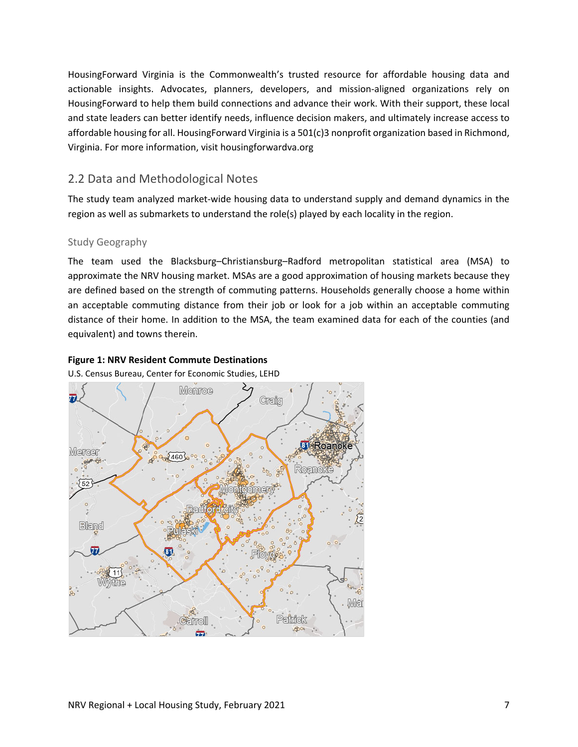HousingForward Virginia is the Commonwealth's trusted resource for affordable housing data and actionable insights. Advocates, planners, developers, and mission‐aligned organizations rely on HousingForward to help them build connections and advance their work. With their support, these local and state leaders can better identify needs, influence decision makers, and ultimately increase access to affordable housing for all. HousingForward Virginia is a 501(c)3 nonprofit organization based in Richmond, Virginia. For more information, visit housingforwardva.org

# 2.2 Data and Methodological Notes

The study team analyzed market‐wide housing data to understand supply and demand dynamics in the region as well as submarkets to understand the role(s) played by each locality in the region.

# Study Geography

The team used the Blacksburg–Christiansburg–Radford metropolitan statistical area (MSA) to approximate the NRV housing market. MSAs are a good approximation of housing markets because they are defined based on the strength of commuting patterns. Households generally choose a home within an acceptable commuting distance from their job or look for a job within an acceptable commuting distance of their home. In addition to the MSA, the team examined data for each of the counties (and equivalent) and towns therein.

# **Figure 1: NRV Resident Commute Destinations**

U.S. Census Bureau, Center for Economic Studies, LEHD

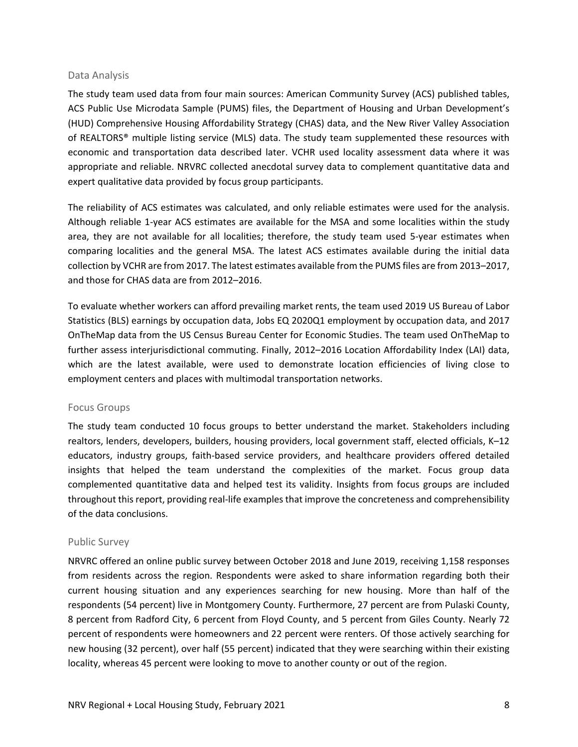#### Data Analysis

The study team used data from four main sources: American Community Survey (ACS) published tables, ACS Public Use Microdata Sample (PUMS) files, the Department of Housing and Urban Development's (HUD) Comprehensive Housing Affordability Strategy (CHAS) data, and the New River Valley Association of REALTORS® multiple listing service (MLS) data. The study team supplemented these resources with economic and transportation data described later. VCHR used locality assessment data where it was appropriate and reliable. NRVRC collected anecdotal survey data to complement quantitative data and expert qualitative data provided by focus group participants.

The reliability of ACS estimates was calculated, and only reliable estimates were used for the analysis. Although reliable 1‐year ACS estimates are available for the MSA and some localities within the study area, they are not available for all localities; therefore, the study team used 5‐year estimates when comparing localities and the general MSA. The latest ACS estimates available during the initial data collection by VCHR are from 2017. The latest estimates available from the PUMS files are from 2013–2017, and those for CHAS data are from 2012–2016.

To evaluate whether workers can afford prevailing market rents, the team used 2019 US Bureau of Labor Statistics (BLS) earnings by occupation data, Jobs EQ 2020Q1 employment by occupation data, and 2017 OnTheMap data from the US Census Bureau Center for Economic Studies. The team used OnTheMap to further assess interjurisdictional commuting. Finally, 2012–2016 Location Affordability Index (LAI) data, which are the latest available, were used to demonstrate location efficiencies of living close to employment centers and places with multimodal transportation networks.

### Focus Groups

The study team conducted 10 focus groups to better understand the market. Stakeholders including realtors, lenders, developers, builders, housing providers, local government staff, elected officials, K–12 educators, industry groups, faith‐based service providers, and healthcare providers offered detailed insights that helped the team understand the complexities of the market. Focus group data complemented quantitative data and helped test its validity. Insights from focus groups are included throughout this report, providing real‐life examples that improve the concreteness and comprehensibility of the data conclusions.

### Public Survey

NRVRC offered an online public survey between October 2018 and June 2019, receiving 1,158 responses from residents across the region. Respondents were asked to share information regarding both their current housing situation and any experiences searching for new housing. More than half of the respondents (54 percent) live in Montgomery County. Furthermore, 27 percent are from Pulaski County, 8 percent from Radford City, 6 percent from Floyd County, and 5 percent from Giles County. Nearly 72 percent of respondents were homeowners and 22 percent were renters. Of those actively searching for new housing (32 percent), over half (55 percent) indicated that they were searching within their existing locality, whereas 45 percent were looking to move to another county or out of the region.